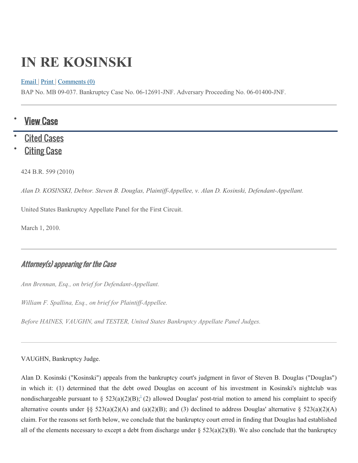# **IN RE KOSINSKI**

#### [Email](https://www.leagle.com/decision/inbco20100303737) | [Print](https://www.leagle.com/decision/inbco20100303737) | [Comments \(0\)](https://www.leagle.com/decision/inbco20100303737)

BAP No. MB 09-037. Bankruptcy Case No. 06-12691-JNF. Adversary Proceeding No. 06-01400-JNF.

### **View Case**

# **[Cited Cases](https://www.leagle.com/decision/citedcases/inbco20100303737)**

**[Citing Case](https://www.leagle.com/decision/citingcases/inbco20100303737)** 

424 B.R. 599 (2010)

*Alan D. KOSINSKI, Debtor. Steven B. Douglas, Plaintiff-Appellee, v. Alan D. Kosinski, Defendant-Appellant.*

United States Bankruptcy Appellate Panel for the First Circuit.

March 1, 2010.

### Attorney(s) appearing for the Case

*Ann Brennan, Esq., on brief for Defendant-Appellant.*

*William F. Spallina, Esq., on brief for Plaintiff-Appellee.*

*Before HAINES, VAUGHN, and TESTER, United States Bankruptcy Appellate Panel Judges.*

VAUGHN, Bankruptcy Judge.

Alan D. Kosinski ("Kosinski") appeals from the bankruptcy court's judgment in favor of Steven B. Douglas ("Douglas") in which it: (1) determined that the debt owed Douglas on account of his investment in Kosinski's nightclub was nondischargeable pursuant to  $\S$  523(a)(2)(B)[;](https://www.leagle.com/decision/inbco20100303737#fid1)<sup>1</sup>(2) allowed Douglas' post-trial motion to amend his complaint to specify alternative counts under §§  $523(a)(2)(A)$  and  $(a)(2)(B)$ ; and (3) declined to address Douglas' alternative §  $523(a)(2)(A)$ claim. For the reasons set forth below, we conclude that the bankruptcy court erred in finding that Douglas had established all of the elements necessary to except a debt from discharge under  $\S 523(a)(2)(B)$ . We also conclude that the bankruptcy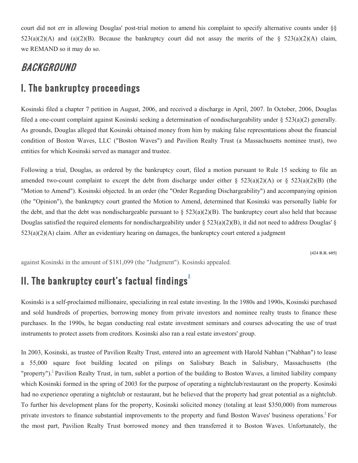court did not err in allowing Douglas' post-trial motion to amend his complaint to specify alternative counts under §§  $523(a)(2)(A)$  and  $(a)(2)(B)$ . Because the bankruptcy court did not assay the merits of the §  $523(a)(2)(A)$  claim, we REMAND so it may do so.

# **BACKGROUND**

# I. The bankruptcy proceedings

Kosinski filed a chapter 7 petition in August, 2006, and received a discharge in April, 2007. In October, 2006, Douglas filed a one-count complaint against Kosinski seeking a determination of nondischargeability under  $\S$  523(a)(2) generally. As grounds, Douglas alleged that Kosinski obtained money from him by making false representations about the financial condition of Boston Waves, LLC ("Boston Waves") and Pavilion Realty Trust (a Massachusetts nominee trust), two entities for which Kosinski served as manager and trustee.

Following a trial, Douglas, as ordered by the bankruptcy court, filed a motion pursuant to Rule 15 seeking to file an amended two-count complaint to except the debt from discharge under either  $\S 523(a)(2)(A)$  or  $\S 523(a)(2)(B)$  (the "Motion to Amend"). Kosinski objected. In an order (the "Order Regarding Dischargeability") and accompanying opinion (the "Opinion"), the bankruptcy court granted the Motion to Amend, determined that Kosinski was personally liable for the debt, and that the debt was nondischargeable pursuant to  $\S$  523(a)(2)(B). The bankruptcy court also held that because Douglas satisfied the required elements for nondischargeability under  $\S 523(a)(2)(B)$ , it did not need to address Douglas'  $\S$  $523(a)(2)(A)$  claim. After an evidentiary hearing on damages, the bankruptcy court entered a judgment

**[424 B.R. 605]**

against Kosinski in the amount of \$181,099 (the "Judgment"). Kosinski appealed.

# II. The bankruptcy court's factual findings<sup>2</sup>

Kosinski is a self-proclaimed millionaire, specializing in real estate investing. In the 1980s and 1990s, Kosinski purchased and sold hundreds of properties, borrowing money from private investors and nominee realty trusts to finance these purchases. In the 1990s, he began conducting real estate investment seminars and courses advocating the use of trust instruments to protect assets from creditors. Kosinski also ran a real estate investors' group.

In 2003, Kosinski, as trustee of Pavilion Realty Trust, entered into an agreement with Harold Nabhan ("Nabhan") to lease a 55,000 square foot building located on pilings on Salisbury Beach in Salisbury, Massachusetts (the "property").<sup>3</sup> Pavilion Realty Trust, in turn, sublet a portion of the building to Boston Waves, a limited liability company which Kosinski formed in the spring of 2003 for the purpose of operating a nightclub/restaurant on the property. Kosinski had no experience operating a nightclub or restaurant, but he believed that the property had great potential as a nightclub. To further his development plans for the property, Kosinski solicited money (totaling at least \$350,000) from numerous private investors to finance substantial improvements to the property and fund Boston Waves' business operations.<sup>4</sup> For the most part, Pavilion Realty Trust borrowed money and then transferred it to Boston Waves. Unfortunately, the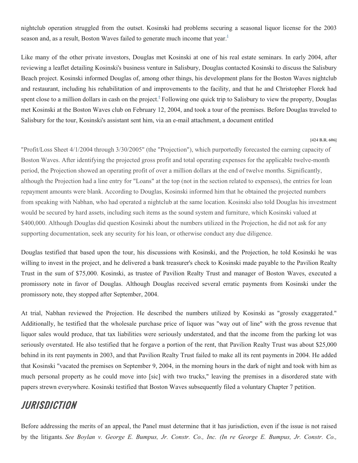nightclub operation struggled from the outset. Kosinski had problems securing a seasonal liquor license for the 2003 season and, as a result, Boston Waves failed to generate much income that year. $\frac{5}{5}$ 

Like many of the other private investors, Douglas met Kosinski at one of his real estate seminars. In early 2004, after reviewing a leaflet detailing Kosinski's business venture in Salisbury, Douglas contacted Kosinski to discuss the Salisbury Beach project. Kosinski informed Douglas of, among other things, his development plans for the Boston Waves nightclub and restaurant, including his rehabilitation of and improvements to the facility, and that he and Christopher Florek had spent close to a million dollars in cash on the project. Following one quick trip to Salisbury to view the property, Douglas met Kosinski at the Boston Waves club on February 12, 2004, and took a tour of the premises. Before Douglas traveled to Salisbury for the tour, Kosinski's assistant sent him, via an e-mail attachment, a document entitled

#### **[424 B.R. 606]**

"Profit/Loss Sheet 4/1/2004 through 3/30/2005" (the "Projection"), which purportedly forecasted the earning capacity of Boston Waves. After identifying the projected gross profit and total operating expenses for the applicable twelve-month period, the Projection showed an operating profit of over a million dollars at the end of twelve months. Significantly, although the Projection had a line entry for "Loans" at the top (not in the section related to expenses), the entries for loan repayment amounts were blank. According to Douglas, Kosinski informed him that he obtained the projected numbers from speaking with Nabhan, who had operated a nightclub at the same location. Kosinski also told Douglas his investment would be secured by hard assets, including such items as the sound system and furniture, which Kosinski valued at \$400,000. Although Douglas did question Kosinski about the numbers utilized in the Projection, he did not ask for any supporting documentation, seek any security for his loan, or otherwise conduct any due diligence.

Douglas testified that based upon the tour, his discussions with Kosinski, and the Projection, he told Kosinski he was willing to invest in the project, and he delivered a bank treasurer's check to Kosinski made payable to the Pavilion Realty Trust in the sum of \$75,000. Kosinski, as trustee of Pavilion Realty Trust and manager of Boston Waves, executed a promissory note in favor of Douglas. Although Douglas received several erratic payments from Kosinski under the promissory note, they stopped after September, 2004.

At trial, Nabhan reviewed the Projection. He described the numbers utilized by Kosinski as "grossly exaggerated." Additionally, he testified that the wholesale purchase price of liquor was "way out of line" with the gross revenue that liquor sales would produce, that tax liabilities were seriously understated, and that the income from the parking lot was seriously overstated. He also testified that he forgave a portion of the rent, that Pavilion Realty Trust was about \$25,000 behind in its rent payments in 2003, and that Pavilion Realty Trust failed to make all its rent payments in 2004. He added that Kosinski "vacated the premises on September 9, 2004, in the morning hours in the dark of night and took with him as much personal property as he could move into [sic] with two trucks," leaving the premises in a disordered state with papers strewn everywhere. Kosinski testified that Boston Waves subsequently filed a voluntary Chapter 7 petition.

## JURISDICTION

Before addressing the merits of an appeal, the Panel must determine that it has jurisdiction, even if the issue is not raised by the litigants. *See Boylan v. George E. Bumpus, Jr. Constr. Co., Inc. (In re George E. Bumpus, Jr. Constr. Co.,*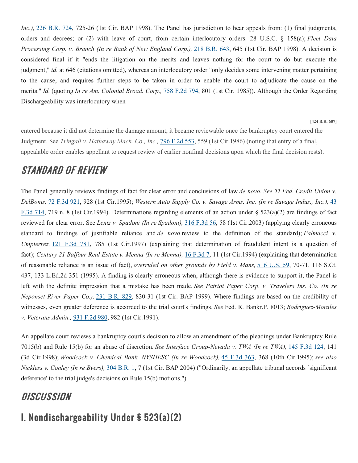*Inc.*), [226 B.R. 724,](https://www.leagle.com/cite/226%20B.R.%20724) 725-26 (1st Cir. BAP 1998). The Panel has jurisdiction to hear appeals from: (1) final judgments, orders and decrees; or (2) with leave of court, from certain interlocutory orders. 28 U.S.C. § 158(a); *Fleet Data Processing Corp. v. Branch (In re Bank of New England Corp.),* [218 B.R. 643,](https://www.leagle.com/cite/218%20B.R.%20643) 645 (1st Cir. BAP 1998). A decision is considered final if it "ends the litigation on the merits and leaves nothing for the court to do but execute the judgment," *id.* at 646 (citations omitted), whereas an interlocutory order "only decides some intervening matter pertaining to the cause, and requires further steps to be taken in order to enable the court to adjudicate the cause on the merits." *Id.* (quoting *In re Am. Colonial Broad. Corp.,* [758 F.2d 794,](https://www.leagle.com/cite/758%20F.2d%20794) 801 (1st Cir. 1985)). Although the Order Regarding Dischargeability was interlocutory when

**[424 B.R. 607]**

entered because it did not determine the damage amount, it became reviewable once the bankruptcy court entered the Judgment. See *Tringali v. Hathaway Mach. Co., Inc.,* [796 F.2d 553,](https://www.leagle.com/cite/796%20F.2d%20553) 559 (1st Cir.1986) (noting that entry of a final, appealable order enables appellant to request review of earlier nonfinal decisions upon which the final decision rests).

# STANDARD OF REVIEW

The Panel generally reviews findings of fact for clear error and conclusions of law *de novo. See TI Fed. Credit Union v. DelBonis,* [72 F.3d 921,](https://www.leagle.com/cite/72%20F.3d%20921) 928 (1st Cir.1995); *Western Auto Supply Co. v. Savage Arms, Inc. (In re Savage Indus., Inc.),* [43](https://www.leagle.com/cite/43%20F.3d%20714)  [F.3d 714,](https://www.leagle.com/cite/43%20F.3d%20714) 719 n. 8 (1st Cir.1994). Determinations regarding elements of an action under § 523(a)(2) are findings of fact reviewed for clear error. See *Lentz v. Spadoni (In re Spadoni),* [316 F.3d 56,](https://www.leagle.com/cite/316%20F.3d%2056) 58 (1st Cir.2003) (applying clearly erroneous standard to findings of justifiable reliance and *de novo* review to the definition of the standard); *Palmacci v. Umpierrez,* [121 F.3d 781,](https://www.leagle.com/cite/121%20F.3d%20781) 785 (1st Cir.1997) (explaining that determination of fraudulent intent is a question of fact); *Century 21 Balfour Real Estate v. Menna (In re Menna),* [16 F.3d 7,](https://www.leagle.com/cite/16%20F.3d%207) 11 (1st Cir.1994) (explaining that determination of reasonable reliance is an issue of fact), *overruled on other grounds by Field v. Mans,* [516 U.S. 59,](https://www.leagle.com/cite/516%20U.S.%2059) 70-71, 116 S.Ct. 437, 133 L.Ed.2d 351 (1995). A finding is clearly erroneous when, although there is evidence to support it, the Panel is left with the definite impression that a mistake has been made. *See Patriot Paper Corp. v. Travelers Ins. Co. (In re Neponset River Paper Co.),* [231 B.R. 829,](https://www.leagle.com/cite/231%20B.R.%20829) 830-31 (1st Cir. BAP 1999). Where findings are based on the credibility of witnesses, even greater deference is accorded to the trial court's findings. *See* Fed. R. Bankr.P. 8013; *Rodriguez-Morales v. Veterans Admin.,* [931 F.2d 980,](https://www.leagle.com/cite/931%20F.2d%20980) 982 (1st Cir.1991).

An appellate court reviews a bankruptcy court's decision to allow an amendment of the pleadings under Bankruptcy Rule 7015(b) and Rule 15(b) for an abuse of discretion. *See Interface Group-Nevada v. TWA (In re TWA),* [145 F.3d 124,](https://www.leagle.com/cite/145%20F.3d%20124) 141 (3d Cir.1998); *Woodcock v. Chemical Bank, NYSHESC (In re Woodcock),* [45 F.3d 363,](https://www.leagle.com/cite/45%20F.3d%20363) 368 (10th Cir.1995); *see also Nickless v. Conley (In re Byers),* [304 B.R. 1,](https://www.leagle.com/cite/304%20B.R.%201) 7 (1st Cir. BAP 2004) ("Ordinarily, an appellate tribunal accords `significant deference' to the trial judge's decisions on Rule 15(b) motions.").

# **DISCUSSION**

# I. Nondischargeability Under § 523(a)(2)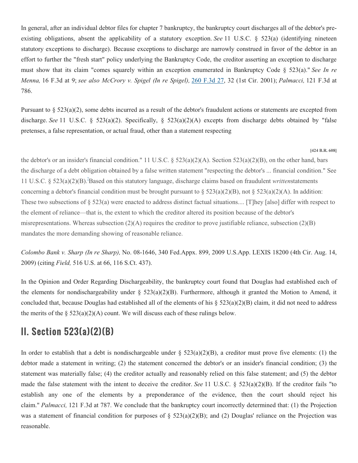In general, after an individual debtor files for chapter 7 bankruptcy, the bankruptcy court discharges all of the debtor's preexisting obligations, absent the applicability of a statutory exception. *See* 11 U.S.C. § 523(a) (identifying nineteen statutory exceptions to discharge). Because exceptions to discharge are narrowly construed in favor of the debtor in an effort to further the "fresh start" policy underlying the Bankruptcy Code, the creditor asserting an exception to discharge must show that its claim "comes squarely within an exception enumerated in Bankruptcy Code § 523(a)." *See In re Menna,* 16 F.3d at 9; *see also McCrory v. Spigel (In re Spigel),* [260 F.3d 27,](https://www.leagle.com/cite/260%20F.3d%2027) 32 (1st Cir. 2001); *Palmacci,* 121 F.3d at 786.

Pursuant to  $\S 523(a)(2)$ , some debts incurred as a result of the debtor's fraudulent actions or statements are excepted from discharge. *See* 11 U.S.C. § 523(a)(2). Specifically, § 523(a)(2)(A) excepts from discharge debts obtained by "false pretenses, a false representation, or actual fraud, other than a statement respecting

#### **[424 B.R. 608]**

the debtor's or an insider's financial condition." 11 U.S.C.  $\S 523(a)(2)(A)$ . Section 523(a)(2)(B), on the other hand, bars the discharge of a debt obligation obtained by a false written statement "respecting the debtor's ... financial condition." See 11 U.S.C. § 523(a)(2)(B).<sup>2</sup>Based on this statutory language, discharge claims based on fraudulent *writtenstatements* concerning a debtor's financial condition must be brought pursuant to  $\S 523(a)(2)(B)$ , not  $\S 523(a)(2)(A)$ . In addition: These two subsections of § 523(a) were enacted to address distinct factual situations.... [T]hey [also] differ with respect to the element of reliance—that is, the extent to which the creditor altered its position because of the debtor's misrepresentations. Whereas subsection  $(2)(A)$  requires the creditor to prove justifiable reliance, subsection  $(2)(B)$ mandates the more demanding showing of reasonable reliance.

*Colombo Bank v. Sharp (In re Sharp),* No. 08-1646, 340 Fed.Appx. 899, 2009 U.S.App. LEXIS 18200 (4th Cir. Aug. 14, 2009) (citing *Field,* 516 U.S. at 66, 116 S.Ct. 437).

In the Opinion and Order Regarding Dischargeability, the bankruptcy court found that Douglas had established each of the elements for nondischargeability under §  $523(a)(2)(B)$ . Furthermore, although it granted the Motion to Amend, it concluded that, because Douglas had established all of the elements of his  $\S 523(a)(2)(B)$  claim, it did not need to address the merits of the  $\S 523(a)(2)(A)$  count. We will discuss each of these rulings below.

### II. Section 523(a)(2)(B)

In order to establish that a debt is nondischargeable under  $\S$  523(a)(2)(B), a creditor must prove five elements: (1) the debtor made a statement in writing; (2) the statement concerned the debtor's or an insider's financial condition; (3) the statement was materially false; (4) the creditor actually and reasonably relied on this false statement; and (5) the debtor made the false statement with the intent to deceive the creditor. *See* 11 U.S.C. § 523(a)(2)(B). If the creditor fails "to establish any one of the elements by a preponderance of the evidence, then the court should reject his claim." *Palmacci,* 121 F.3d at 787. We conclude that the bankruptcy court incorrectly determined that: (1) the Projection was a statement of financial condition for purposes of  $\S 523(a)(2)(B)$ ; and (2) Douglas' reliance on the Projection was reasonable.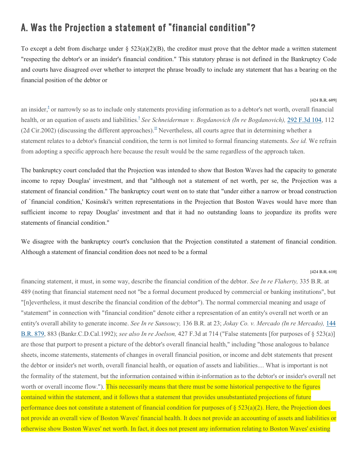# A. Was the Projection a statement of "financial condition"?

To except a debt from discharge under  $\S 523(a)(2)(B)$ , the creditor must prove that the debtor made a written statement "respecting the debtor's or an insider's financial condition." This statutory phrase is not defined in the Bankruptcy Code and courts have disagreed over whether to interpret the phrase broadly to include any statement that has a bearing on the financial position of the debtor or

**[424 B.R. 609]**

an insider,  $\sin \theta$  or narrowly so as to include only statements providing information as to a debtor's net worth, overall financial health, or an equation of assets and liabilitie[s.](https://www.leagle.com/decision/inbco20100303737#fid9)<sup>2</sup> See Schneiderman v. Bogdanovich (In re Bogdanovich), [292 F.3d 104,](https://www.leagle.com/cite/292%20F.3d%20104) 112 (2d Cir[.](https://www.leagle.com/decision/inbco20100303737#fid10)2002) (discussing the different approaches).<sup>10</sup> Nevertheless, all courts agree that in determining whether a statement relates to a debtor's financial condition, the term is not limited to formal financing statements. *See id.* We refrain from adopting a specific approach here because the result would be the same regardless of the approach taken.

The bankruptcy court concluded that the Projection was intended to show that Boston Waves had the capacity to generate income to repay Douglas' investment, and that "although not a statement of net worth, per se, the Projection was a statement of financial condition." The bankruptcy court went on to state that "under either a narrow or broad construction of `financial condition,' Kosinski's written representations in the Projection that Boston Waves would have more than sufficient income to repay Douglas' investment and that it had no outstanding loans to jeopardize its profits were statements of financial condition."

We disagree with the bankruptcy court's conclusion that the Projection constituted a statement of financial condition. Although a statement of financial condition does not need to be a formal

**[424 B.R. 610]**

financing statement, it must, in some way, describe the financial condition of the debtor. *See In re Flaherty,* 335 B.R. at 489 (noting that financial statement need not "be a formal document produced by commercial or banking institutions", but "[n]evertheless, it must describe the financial condition of the debtor"). The normal commercial meaning and usage of "statement" in connection with "financial condition" denote either a representation of an entity's overall net worth or an entity's overall ability to generate income. *See In re Sansoucy,* 136 B.R. at 23; *Jokay Co. v. Mercado (In re Mercado),* [144](https://www.leagle.com/cite/144%20B.R.%20879)  [B.R. 879,](https://www.leagle.com/cite/144%20B.R.%20879) 883 (Bankr.C.D.Cal.1992); *see also In re Joelson,* 427 F.3d at 714 ("False statements [for purposes of § 523(a)] are those that purport to present a picture of the debtor's overall financial health," including "those analogous to balance sheets, income statements, statements of changes in overall financial position, or income and debt statements that present the debtor or insider's net worth, overall financial health, or equation of assets and liabilities.... What is important is not the formality of the statement, but the information contained within it-information as to the debtor's or insider's overall net worth or overall income flow."). This necessarily means that there must be some historical perspective to the figures contained within the statement, and it follows that a statement that provides unsubstantiated projections of future performance does not constitute a statement of financial condition for purposes of  $\S 523(a)(2)$ . Here, the Projection does not provide an overall view of Boston Waves' financial health. It does not provide an accounting of assets and liabilities or otherwise show Boston Waves' net worth. In fact, it does not present any information relating to Boston Waves' existing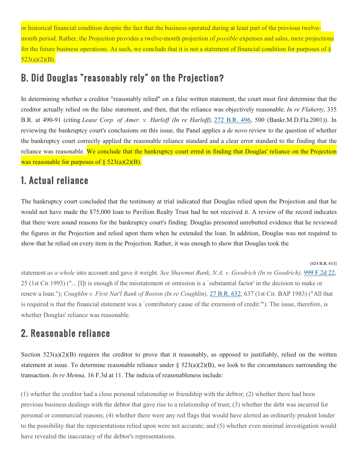or historical financial condition despite the fact that the business operated during at least part of the previous twelvemonth period. Rather, the Projection provides a twelve-month projection of *possible* expenses and sales, mere projections for the future business operations. As such, we conclude that it is not a statement of financial condition for purposes of §  $523(a)(2)(B)$ .

## B. Did Douglas "reasonably rely" on the Projection?

In determining whether a creditor "reasonably relied" on a false written statement, the court must first determine that the creditor actually relied on the false statement, and then, that the reliance was objectively reasonable. *In re Flaherty,* 335 B.R. at 490-91 (citing *Lease Corp. of Amer. v. Harloff (In re Harloff),* [272 B.R. 496,](https://www.leagle.com/cite/272%20B.R.%20496) 500 (Bankr.M.D.Fla.2001)). In reviewing the bankruptcy court's conclusions on this issue, the Panel applies a *de novo* review to the question of whether the bankruptcy court correctly applied the reasonable reliance standard and a clear error standard to the finding that the reliance was reasonable. We conclude that the bankruptcy court erred in finding that Douglas' reliance on the Projection was reasonable for purposes of  $\S$  523(a)(2)(B).

# 1. Actual reliance

The bankruptcy court concluded that the testimony at trial indicated that Douglas relied upon the Projection and that he would not have made the \$75,000 loan to Pavilion Realty Trust had he not received it. A review of the record indicates that there were sound reasons for the bankruptcy court's finding. Douglas presented unrebutted evidence that he reviewed the figures in the Projection and relied upon them when he extended the loan. In addition, Douglas was not required to show that he relied on every item in the Projection. Rather, it was enough to show that Douglas took the

**[424 B.R. 611]**

statement *as a whole* into account and gave it weight. *See Shawmut Bank, N.A. v. Goodrich (In re Goodrich),* [999 F.2d 22,](https://www.leagle.com/cite/999%20F.2d%2022) 25 (1st Cir.1993) ("... [I]t is enough if the misstatement or omission is a `substantial factor' in the decision to make or renew a loan."); *Coughlin v. First Nat'l Bank of Boston (In re Coughlin),* [27 B.R. 632,](https://www.leagle.com/cite/27%20B.R.%20632) 637 (1st Cir. BAP 1983) ("All that is required is that the financial statement was a `contributory cause of the extension of credit.'"). The issue, therefore, is whether Douglas' reliance was reasonable.

# 2. Reasonable reliance

Section  $523(a)(2)(B)$  requires the creditor to prove that it reasonably, as opposed to justifiably, relied on the written statement at issue. To determine reasonable reliance under  $\S$  523(a)(2)(B), we look to the circumstances surrounding the transaction. *In re Menna,* 16 F.3d at 11. The indicia of reasonableness include:

(1) whether the creditor had a close personal relationship or friendship with the debtor; (2) whether there had been previous business dealings with the debtor that gave rise to a relationship of trust; (3) whether the debt was incurred for personal or commercial reasons; (4) whether there were any red flags that would have alerted an ordinarily prudent lender to the possibility that the representations relied upon were not accurate; and (5) whether even minimal investigation would have revealed the inaccuracy of the debtor's representations.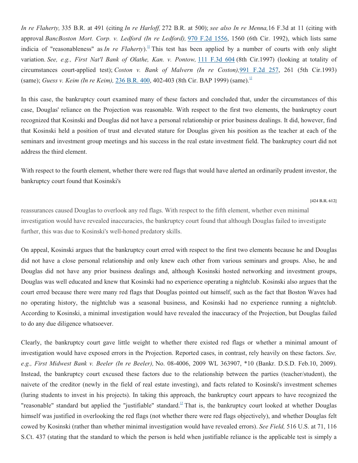*In re Flaherty,* 335 B.R. at 491 (citing *In re Harloff,* 272 B.R. at 500); *see also In re Menna,*16 F.3d at 11 (citing with approval *BancBoston Mort. Corp. v. Ledford (In re Ledford),* [970 F.2d 1556,](https://www.leagle.com/cite/970%20F.2d%201556) 1560 (6th Cir. 1992), which lists same indicia of "reasonableness" as *In re Flaherty*)[.](https://www.leagle.com/decision/inbco20100303737#fid11)<sup>11</sup> This test has been applied by a number of courts with only slight variation. *See, e.g., First Nat'l Bank of Olathe, Kan. v. Pontow,* [111 F.3d 604](https://www.leagle.com/cite/111%20F.3d%20604) (8th Cir.1997) (looking at totality of circumstances court-applied test); *Coston v. Bank of Malvern (In re Coston),*[991 F.2d 257,](https://www.leagle.com/cite/991%20F.2d%20257) 261 (5th Cir.1993) (same); *Guess v[.](https://www.leagle.com/decision/inbco20100303737#fid12) Keim (In re Keim)*, [236 B.R. 400,](https://www.leagle.com/cite/236%20B.R.%20400) 402-403 (8th Cir. BAP 1999) (same).<sup>12</sup>

In this case, the bankruptcy court examined many of these factors and concluded that, under the circumstances of this case, Douglas' reliance on the Projection was reasonable. With respect to the first two elements, the bankruptcy court recognized that Kosinski and Douglas did not have a personal relationship or prior business dealings. It did, however, find that Kosinski held a position of trust and elevated stature for Douglas given his position as the teacher at each of the seminars and investment group meetings and his success in the real estate investment field. The bankruptcy court did not address the third element.

With respect to the fourth element, whether there were red flags that would have alerted an ordinarily prudent investor, the bankruptcy court found that Kosinski's

**[424 B.R. 612]**

reassurances caused Douglas to overlook any red flags. With respect to the fifth element, whether even minimal investigation would have revealed inaccuracies, the bankruptcy court found that although Douglas failed to investigate further, this was due to Kosinski's well-honed predatory skills.

On appeal, Kosinski argues that the bankruptcy court erred with respect to the first two elements because he and Douglas did not have a close personal relationship and only knew each other from various seminars and groups. Also, he and Douglas did not have any prior business dealings and, although Kosinski hosted networking and investment groups, Douglas was well educated and knew that Kosinski had no experience operating a nightclub. Kosinski also argues that the court erred because there were many red flags that Douglas pointed out himself, such as the fact that Boston Waves had no operating history, the nightclub was a seasonal business, and Kosinski had no experience running a nightclub. According to Kosinski, a minimal investigation would have revealed the inaccuracy of the Projection, but Douglas failed to do any due diligence whatsoever.

Clearly, the bankruptcy court gave little weight to whether there existed red flags or whether a minimal amount of investigation would have exposed errors in the Projection. Reported cases, in contrast, rely heavily on these factors. *See, e.g., First Midwest Bank v. Beeler (In re Beeler),* No. 08-4006, 2009 WL 363907, \*10 (Bankr. D.S.D. Feb.10, 2009). Instead, the bankruptcy court excused these factors due to the relationship between the parties (teacher/student), the naivete of the creditor (newly in the field of real estate investing), and facts related to Kosinski's investment schemes (luring students to invest in his projects). In taking this approach, the bankruptcy court appears to have recognized the "reasonable" standard but applied the "justifiable" standard.<sup>[13](https://www.leagle.com/decision/inbco20100303737#fid13)</sup> That is, the bankruptcy court looked at whether Douglas himself was justified in overlooking the red flags (not whether there were red flags objectively), and whether Douglas felt cowed by Kosinski (rather than whether minimal investigation would have revealed errors). *See Field,* 516 U.S. at 71, 116 S.Ct. 437 (stating that the standard to which the person is held when justifiable reliance is the applicable test is simply a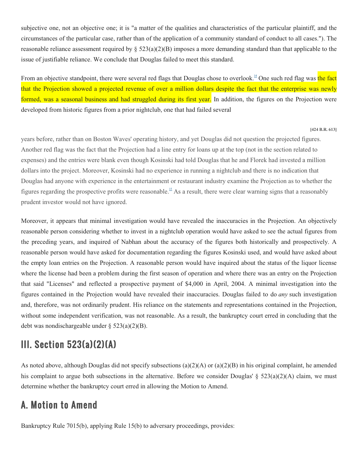subjective one, not an objective one; it is "a matter of the qualities and characteristics of the particular plaintiff, and the circumstances of the particular case, rather than of the application of a community standard of conduct to all cases."). The reasonable reliance assessment required by  $\S 523(a)(2)(B)$  imposes a more demanding standard than that applicable to the issue of justifiable reliance. We conclude that Douglas failed to meet this standard.

From an objective standpoint, there were several red flags that Douglas chose to overlook.<sup>14</sup> One such red flag was the fact that the Projection showed a projected revenue of over a million dollars despite the fact that the enterprise was newly formed, was a seasonal business and had struggled during its first year. In addition, the figures on the Projection were developed from historic figures from a prior nightclub, one that had failed several

#### **[424 B.R. 613]**

years before, rather than on Boston Waves' operating history, and yet Douglas did not question the projected figures. Another red flag was the fact that the Projection had a line entry for loans up at the top (not in the section related to expenses) and the entries were blank even though Kosinski had told Douglas that he and Florek had invested a million dollars into the project. Moreover, Kosinski had no experience in running a nightclub and there is no indication that Douglas had anyone with experience in the entertainment or restaurant industry examine the Projection as to whether the figures regarding the prospective profits were reasonable.<sup>15</sup> As a result, there were clear warning signs that a reasonably prudent investor would not have ignored.

Moreover, it appears that minimal investigation would have revealed the inaccuracies in the Projection. An objectively reasonable person considering whether to invest in a nightclub operation would have asked to see the actual figures from the preceding years, and inquired of Nabhan about the accuracy of the figures both historically and prospectively. A reasonable person would have asked for documentation regarding the figures Kosinski used, and would have asked about the empty loan entries on the Projection. A reasonable person would have inquired about the status of the liquor license where the license had been a problem during the first season of operation and where there was an entry on the Projection that said "Licenses" and reflected a prospective payment of \$4,000 in April, 2004. A minimal investigation into the figures contained in the Projection would have revealed their inaccuracies. Douglas failed to do *any* such investigation and, therefore, was not ordinarily prudent. His reliance on the statements and representations contained in the Projection, without some independent verification, was not reasonable. As a result, the bankruptcy court erred in concluding that the debt was nondischargeable under § 523(a)(2)(B).

### III. Section 523(a)(2)(A)

As noted above, although Douglas did not specify subsections (a)(2)(A) or (a)(2)(B) in his original complaint, he amended his complaint to argue both subsections in the alternative. Before we consider Douglas' § 523(a)(2)(A) claim, we must determine whether the bankruptcy court erred in allowing the Motion to Amend.

### A. Motion to Amend

Bankruptcy Rule 7015(b), applying Rule 15(b) to adversary proceedings, provides: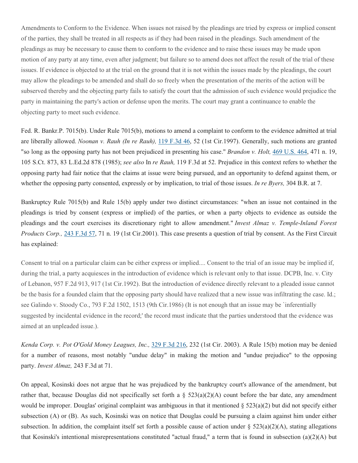Amendments to Conform to the Evidence. When issues not raised by the pleadings are tried by express or implied consent of the parties, they shall be treated in all respects as if they had been raised in the pleadings. Such amendment of the pleadings as may be necessary to cause them to conform to the evidence and to raise these issues may be made upon motion of any party at any time, even after judgment; but failure so to amend does not affect the result of the trial of these issues. If evidence is objected to at the trial on the ground that it is not within the issues made by the pleadings, the court may allow the pleadings to be amended and shall do so freely when the presentation of the merits of the action will be subserved thereby and the objecting party fails to satisfy the court that the admission of such evidence would prejudice the party in maintaining the party's action or defense upon the merits. The court may grant a continuance to enable the objecting party to meet such evidence.

Fed. R. Bankr.P. 7015(b). Under Rule 7015(b), motions to amend a complaint to conform to the evidence admitted at trial are liberally allowed. *Noonan v. Rauh (In re Rauh),* [119 F.3d 46,](https://www.leagle.com/cite/119%20F.3d%2046) 52 (1st Cir.1997). Generally, such motions are granted "so long as the opposing party has not been prejudiced in presenting his case." *Brandon v. Holt,* [469 U.S. 464,](https://www.leagle.com/cite/469%20U.S.%20464) 471 n. 19, 105 S.Ct. 873, 83 L.Ed.2d 878 (1985); *see also* In *re Rauh,* 119 F.3d at 52. Prejudice in this context refers to whether the opposing party had fair notice that the claims at issue were being pursued, and an opportunity to defend against them, or whether the opposing party consented, expressly or by implication, to trial of those issues. *In re Byers,* 304 B.R. at 7.

Bankruptcy Rule 7015(b) and Rule 15(b) apply under two distinct circumstances: "when an issue not contained in the pleadings is tried by consent (express or implied) of the parties, or when a party objects to evidence as outside the pleadings and the court exercises its discretionary right to allow amendment." *Invest Almaz v. Temple-Inland Forest Products Corp.,* [243 F.3d 57,](https://www.leagle.com/cite/243%20F.3d%2057) 71 n. 19 (1st Cir.2001). This case presents a question of trial by consent. As the First Circuit has explained:

Consent to trial on a particular claim can be either express or implied.... Consent to the trial of an issue may be implied if, during the trial, a party acquiesces in the introduction of evidence which is relevant only to that issue. DCPB, Inc. v. City of Lebanon, 957 F.2d 913, 917 (1st Cir.1992). But the introduction of evidence directly relevant to a pleaded issue cannot be the basis for a founded claim that the opposing party should have realized that a new issue was infiltrating the case. Id.; see Galindo v. Stoody Co., 793 F.2d 1502, 1513 (9th Cir.1986) (It is not enough that an issue may be `inferentially suggested by incidental evidence in the record;' the record must indicate that the parties understood that the evidence was aimed at an unpleaded issue.).

*Kenda Corp. v. Pot O'Gold Money Leagues, Inc.,* [329 F.3d 216,](https://www.leagle.com/cite/329%20F.3d%20216) 232 (1st Cir. 2003). A Rule 15(b) motion may be denied for a number of reasons, most notably "undue delay" in making the motion and "undue prejudice" to the opposing party. *Invest Almaz,* 243 F.3d at 71.

On appeal, Kosinski does not argue that he was prejudiced by the bankruptcy court's allowance of the amendment, but rather that, because Douglas did not specifically set forth a  $\S$  523(a)(2)(A) count before the bar date, any amendment would be improper. Douglas' original complaint was ambiguous in that it mentioned  $\S 523(a)(2)$  but did not specify either subsection (A) or (B). As such, Kosinski was on notice that Douglas could be pursuing a claim against him under either subsection. In addition, the complaint itself set forth a possible cause of action under  $\S 523(a)(2)(A)$ , stating allegations that Kosinski's intentional misrepresentations constituted "actual fraud," a term that is found in subsection (a)(2)(A) but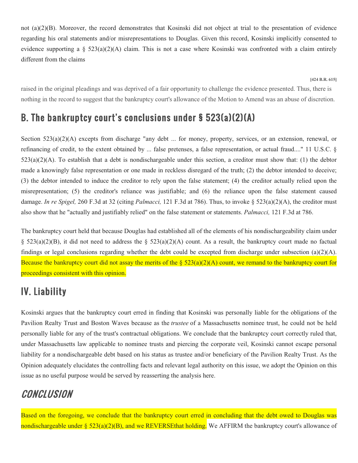not (a)(2)(B). Moreover, the record demonstrates that Kosinski did not object at trial to the presentation of evidence regarding his oral statements and/or misrepresentations to Douglas. Given this record, Kosinski implicitly consented to evidence supporting a  $\S$  523(a)(2)(A) claim. This is not a case where Kosinski was confronted with a claim entirely different from the claims

**[424 B.R. 615]**

raised in the original pleadings and was deprived of a fair opportunity to challenge the evidence presented. Thus, there is nothing in the record to suggest that the bankruptcy court's allowance of the Motion to Amend was an abuse of discretion.

# B. The bankruptcy court's conclusions under § 523(a)(2)(A)

Section 523(a)(2)(A) excepts from discharge "any debt ... for money, property, services, or an extension, renewal, or refinancing of credit, to the extent obtained by ... false pretenses, a false representation, or actual fraud...." 11 U.S.C. §  $523(a)(2)(A)$ . To establish that a debt is nondischargeable under this section, a creditor must show that: (1) the debtor made a knowingly false representation or one made in reckless disregard of the truth; (2) the debtor intended to deceive; (3) the debtor intended to induce the creditor to rely upon the false statement; (4) the creditor actually relied upon the misrepresentation; (5) the creditor's reliance was justifiable; and (6) the reliance upon the false statement caused damage. *In re Spigel,* 260 F.3d at 32 (citing *Palmacci,* 121 F.3d at 786). Thus, to invoke § 523(a)(2)(A), the creditor must also show that he "actually and justifiably relied" on the false statement or statements. *Palmacci,* 121 F.3d at 786.

The bankruptcy court held that because Douglas had established all of the elements of his nondischargeability claim under §  $523(a)(2)(B)$ , it did not need to address the §  $523(a)(2)(A)$  count. As a result, the bankruptcy court made no factual findings or legal conclusions regarding whether the debt could be excepted from discharge under subsection (a)(2)(A). Because the bankruptcy court did not assay the merits of the  $\S 523(a)(2)(A)$  count, we remand to the bankruptcy court for proceedings consistent with this opinion.

# IV. Liability

Kosinski argues that the bankruptcy court erred in finding that Kosinski was personally liable for the obligations of the Pavilion Realty Trust and Boston Waves because as the *trustee* of a Massachusetts nominee trust, he could not be held personally liable for any of the trust's contractual obligations. We conclude that the bankruptcy court correctly ruled that, under Massachusetts law applicable to nominee trusts and piercing the corporate veil, Kosinski cannot escape personal liability for a nondischargeable debt based on his status as trustee and/or beneficiary of the Pavilion Realty Trust. As the Opinion adequately elucidates the controlling facts and relevant legal authority on this issue, we adopt the Opinion on this issue as no useful purpose would be served by reasserting the analysis here.

# CONCLUSION

Based on the foregoing, we conclude that the bankruptcy court erred in concluding that the debt owed to Douglas was nondischargeable under § 523(a)(2)(B), and we REVERSEthat holding. We AFFIRM the bankruptcy court's allowance of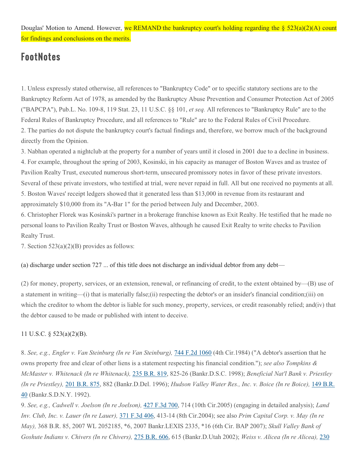Douglas' Motion to Amend. However, we REMAND the bankruptcy court's holding regarding the  $\S$  523(a)(2)(A) count for findings and conclusions on the merits.

# FootNotes

1. Unless expressly stated otherwise, all references to "Bankruptcy Code" or to specific statutory sections are to the Bankruptcy Reform Act of 1978, as amended by the Bankruptcy Abuse Prevention and Consumer Protection Act of 2005 ("BAPCPA"), Pub.L. No. 109-8, 119 Stat. 23, 11 U.S.C. §§ 101, *et seq.* All references to "Bankruptcy Rule" are to the Federal Rules of Bankruptcy Procedure, and all references to "Rule" are to the Federal Rules of Civil Procedure. 2. The parties do not dispute the bankruptcy court's factual findings and, therefore, we borrow much of the background directly from the Opinion.

3. Nabhan operated a nightclub at the property for a number of years until it closed in 2001 due to a decline in business. 4. For example, throughout the spring of 2003, Kosinski, in his capacity as manager of Boston Waves and as trustee of Pavilion Realty Trust, executed numerous short-term, unsecured promissory notes in favor of these private investors. Several of these private investors, who testified at trial, were never repaid in full. All but one received no payments at all. 5. Boston Waves' receipt ledgers showed that it generated less than \$13,000 in revenue from its restaurant and approximately \$10,000 from its "A-Bar 1" for the period between July and December, 2003.

6. Christopher Florek was Kosinski's partner in a brokerage franchise known as Exit Realty. He testified that he made no personal loans to Pavilion Realty Trust or Boston Waves, although he caused Exit Realty to write checks to Pavilion Realty Trust.

7. Section 523(a)(2)(B) provides as follows:

(a) discharge under section 727 ... of this title does not discharge an individual debtor from any debt—

(2) for money, property, services, or an extension, renewal, or refinancing of credit, to the extent obtained by—(B) use of a statement in writing—(i) that is materially false;(ii) respecting the debtor's or an insider's financial condition;(iii) on which the creditor to whom the debtor is liable for such money, property, services, or credit reasonably relied; and(iv) that the debtor caused to be made or published with intent to deceive.

#### 11 U.S.C. § 523(a)(2)(B).

8. *See, e.g., Engler v. Van Steinburg (In re Van Steinburg),* [744 F.2d 1060](https://www.leagle.com/cite/744%20F.2d%201060) (4th Cir.1984) ("A debtor's assertion that he owns property free and clear of other liens is a statement respecting his financial condition."); *see also Tompkins & McMaster v. Whitenack (In re Whitenack),* [235 B.R. 819,](https://www.leagle.com/cite/235%20B.R.%20819) 825-26 (Bankr.D.S.C. 1998); *Beneficial Nat'l Bank v. Priestley (In re Priestley),* [201 B.R. 875,](https://www.leagle.com/cite/201%20B.R.%20875) 882 (Bankr.D.Del. 1996); *Hudson Valley Water Res., Inc. v. Boice (In re Boice),* [149 B.R.](https://www.leagle.com/cite/149%20B.R.%2040)  [40](https://www.leagle.com/cite/149%20B.R.%2040) (Bankr.S.D.N.Y. 1992).

9. *See, e.g., Cadwell v. Joelson (In re Joelson),* [427 F.3d 700,](https://www.leagle.com/cite/427%20F.3d%20700) 714 (10th Cir.2005) (engaging in detailed analysis); *Land Inv. Club, Inc. v. Lauer (In re Lauer),* [371 F.3d 406,](https://www.leagle.com/cite/371%20F.3d%20406) 413-14 (8th Cir.2004); see also *Prim Capital Corp. v. May (In re May),* 368 B.R. 85, 2007 WL 2052185, \*6, 2007 Bankr.LEXIS 2335, \*16 (6th Cir. BAP 2007); *Skull Valley Bank of Goshute Indians v. Chivers (In re Chivers),* [275 B.R. 606,](https://www.leagle.com/cite/275%20B.R.%20606) 615 (Bankr.D.Utah 2002); *Weiss v. Alicea (In re Alicea),* [230](https://www.leagle.com/cite/230%20B.R.%20492)